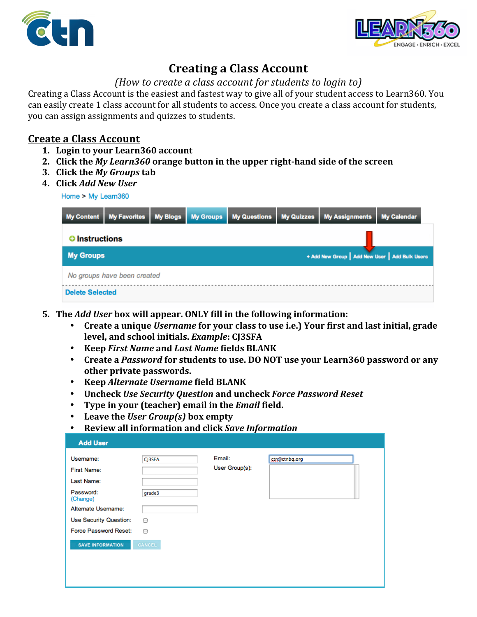



## **Creating)a)Class)Account**

## *(How to create a class account for students to login to)*

Creating a Class Account is the easiest and fastest way to give all of your student access to Learn360. You can easily create 1 class account for all students to access. Once you create a class account for students, you can assign assignments and quizzes to students.

## **Create a Class Account**

- **1. Login to your Learn360 account**
- 2. Click the *My Learn360* orange button in the upper right-hand side of the screen
- **3. Click the** *My Groups* **tab**
- **4. Click)***Add#New#User*

Home > My Learn360

| <b>My Content</b>      | <b>My Favorites</b>         | <b>My Blogs</b> | <b>My Groups</b> | My Questions | <b>My Quizzes</b>                               | <b>My Assignments</b> | <b>My Calendar</b> |
|------------------------|-----------------------------|-----------------|------------------|--------------|-------------------------------------------------|-----------------------|--------------------|
| <b>O</b> Instructions  |                             |                 |                  |              |                                                 |                       |                    |
| <b>My Groups</b>       |                             |                 |                  |              | + Add New Group   Add New User   Add Bulk Users |                       |                    |
|                        | No groups have been created |                 |                  |              |                                                 |                       |                    |
| <b>Delete Selected</b> |                             |                 |                  |              |                                                 |                       |                    |

- **5.** The *Add User* box will appear. ONLY fill in the following information:
	- Create a unique *Username* for your class to use i.e.) Your first and last initial, grade **level,)and)school)initials.)***Example***:)CJ3SFA)**
	- **Keep)***First Name* **and)***Last Name* **fields)BLANK**
	- Create a *Password* for students to use. DO NOT use your Learn360 password or any **other)private)passwords.**
	- **Keep)***Alternate#Username* **field)BLANK**
	- Uncheck *Use Security Question* and uncheck *Force Password Reset*
	- Type in your (teacher) email in the *Email* field.
	- Leave the *User Group(s)* box empty
	- Review all information and click Save Information

| <b>Add User</b>                 |        |                          |               |  |
|---------------------------------|--------|--------------------------|---------------|--|
| Username:<br><b>First Name:</b> | CJ3SFA | Email:<br>User Group(s): | stn@ctnbq.org |  |
| Last Name:                      |        |                          |               |  |
| Password:<br>(Change)           | grade3 |                          |               |  |
| Alternate Username:             |        |                          |               |  |
| <b>Use Security Question:</b>   | ⊟      |                          |               |  |
| Force Password Reset:           | ⊟      |                          |               |  |
| <b>SAVE INFORMATION</b>         | CANCEL |                          |               |  |
|                                 |        |                          |               |  |
|                                 |        |                          |               |  |
|                                 |        |                          |               |  |